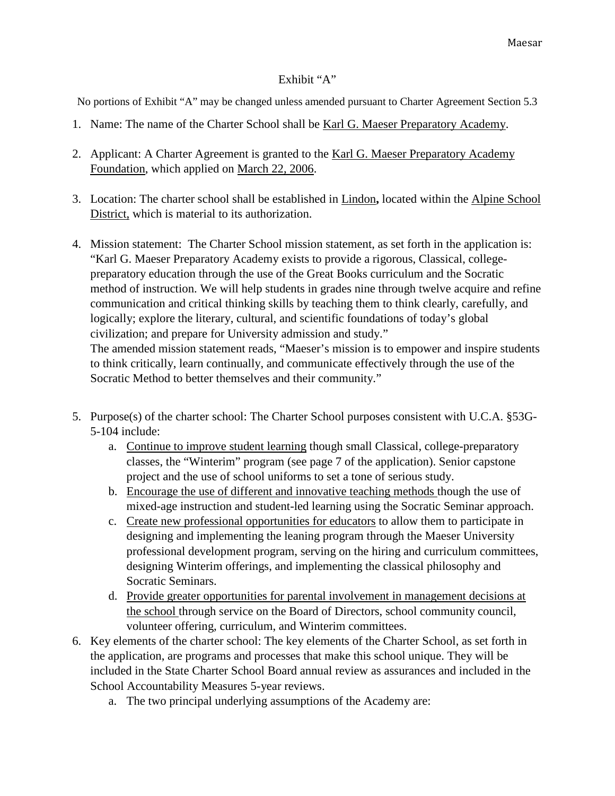## Exhibit "A"

No portions of Exhibit "A" may be changed unless amended pursuant to Charter Agreement Section 5.3

- 1. Name: The name of the Charter School shall be Karl G. Maeser Preparatory Academy.
- 2. Applicant: A Charter Agreement is granted to the Karl G. Maeser Preparatory Academy Foundation, which applied on March 22, 2006.
- 3. Location: The charter school shall be established in Lindon**,** located within the Alpine School District, which is material to its authorization.
- 4. Mission statement: The Charter School mission statement, as set forth in the application is: "Karl G. Maeser Preparatory Academy exists to provide a rigorous, Classical, collegepreparatory education through the use of the Great Books curriculum and the Socratic method of instruction. We will help students in grades nine through twelve acquire and refine communication and critical thinking skills by teaching them to think clearly, carefully, and logically; explore the literary, cultural, and scientific foundations of today's global civilization; and prepare for University admission and study." The amended mission statement reads, "Maeser's mission is to empower and inspire students to think critically, learn continually, and communicate effectively through the use of the Socratic Method to better themselves and their community."
- 5. Purpose(s) of the charter school: The Charter School purposes consistent with U.C.A. §53G-5-104 include:
	- a. Continue to improve student learning though small Classical, college-preparatory classes, the "Winterim" program (see page 7 of the application). Senior capstone project and the use of school uniforms to set a tone of serious study.
	- b. Encourage the use of different and innovative teaching methods though the use of mixed-age instruction and student-led learning using the Socratic Seminar approach.
	- c. Create new professional opportunities for educators to allow them to participate in designing and implementing the leaning program through the Maeser University professional development program, serving on the hiring and curriculum committees, designing Winterim offerings, and implementing the classical philosophy and Socratic Seminars.
	- d. Provide greater opportunities for parental involvement in management decisions at the school through service on the Board of Directors, school community council, volunteer offering, curriculum, and Winterim committees.
- 6. Key elements of the charter school: The key elements of the Charter School, as set forth in the application, are programs and processes that make this school unique. They will be included in the State Charter School Board annual review as assurances and included in the School Accountability Measures 5-year reviews.
	- a. The two principal underlying assumptions of the Academy are: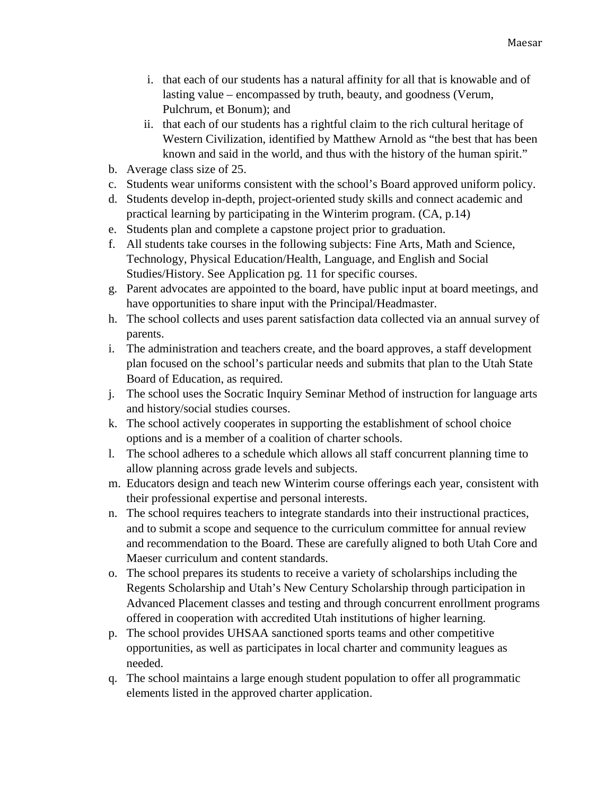- i. that each of our students has a natural affinity for all that is knowable and of lasting value – encompassed by truth, beauty, and goodness (Verum, Pulchrum, et Bonum); and
- ii. that each of our students has a rightful claim to the rich cultural heritage of Western Civilization, identified by Matthew Arnold as "the best that has been known and said in the world, and thus with the history of the human spirit."
- b. Average class size of 25.
- c. Students wear uniforms consistent with the school's Board approved uniform policy.
- d. Students develop in-depth, project-oriented study skills and connect academic and practical learning by participating in the Winterim program. (CA, p.14)
- e. Students plan and complete a capstone project prior to graduation.
- f. All students take courses in the following subjects: Fine Arts, Math and Science, Technology, Physical Education/Health, Language, and English and Social Studies/History. See Application pg. 11 for specific courses.
- g. Parent advocates are appointed to the board, have public input at board meetings, and have opportunities to share input with the Principal/Headmaster.
- h. The school collects and uses parent satisfaction data collected via an annual survey of parents.
- i. The administration and teachers create, and the board approves, a staff development plan focused on the school's particular needs and submits that plan to the Utah State Board of Education, as required.
- j. The school uses the Socratic Inquiry Seminar Method of instruction for language arts and history/social studies courses.
- k. The school actively cooperates in supporting the establishment of school choice options and is a member of a coalition of charter schools.
- l. The school adheres to a schedule which allows all staff concurrent planning time to allow planning across grade levels and subjects.
- m. Educators design and teach new Winterim course offerings each year, consistent with their professional expertise and personal interests.
- n. The school requires teachers to integrate standards into their instructional practices, and to submit a scope and sequence to the curriculum committee for annual review and recommendation to the Board. These are carefully aligned to both Utah Core and Maeser curriculum and content standards.
- o. The school prepares its students to receive a variety of scholarships including the Regents Scholarship and Utah's New Century Scholarship through participation in Advanced Placement classes and testing and through concurrent enrollment programs offered in cooperation with accredited Utah institutions of higher learning.
- p. The school provides UHSAA sanctioned sports teams and other competitive opportunities, as well as participates in local charter and community leagues as needed.
- q. The school maintains a large enough student population to offer all programmatic elements listed in the approved charter application.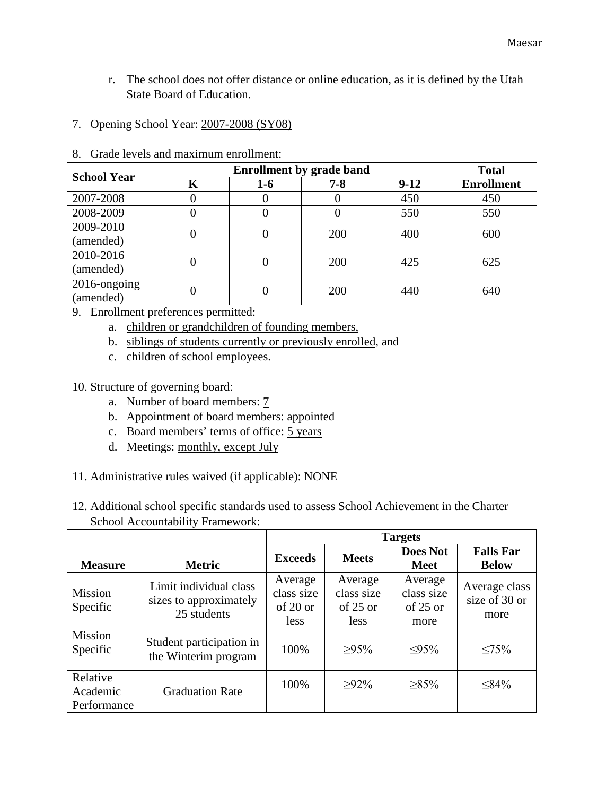- r. The school does not offer distance or online education, as it is defined by the Utah State Board of Education.
- 7. Opening School Year: 2007-2008 (SY08)

| <b>School Year</b> |   | <b>Total</b>     |         |        |                   |
|--------------------|---|------------------|---------|--------|-------------------|
|                    | K | $1-6$            | $7 - 8$ | $9-12$ | <b>Enrollment</b> |
| 2007-2008          |   | $\theta$         |         | 450    | 450               |
| 2008-2009          |   | 0                | O       | 550    | 550               |
| 2009-2010          |   | 0                | 200     | 400    | 600               |
| (amended)          |   |                  |         |        |                   |
| 2010-2016          |   | 0                | 200     | 425    | 625               |
| (amended)          |   |                  |         |        |                   |
| 2016-ongoing       |   | $\left( \right)$ | 200     | 440    | 640               |
| (amended)          |   |                  |         |        |                   |

8. Grade levels and maximum enrollment:

- 9. Enrollment preferences permitted:
	- a. children or grandchildren of founding members,
	- b. siblings of students currently or previously enrolled, and
	- c. children of school employees.

10. Structure of governing board:

- a. Number of board members: 7
- b. Appointment of board members: appointed
- c. Board members' terms of office: 5 years
- d. Meetings: monthly, except July
- 11. Administrative rules waived (if applicable): NONE
- 12. Additional school specific standards used to assess School Achievement in the Charter School Accountability Framework:

|                                     |                                                                 | <b>Targets</b>                            |                                             |                                             |                                        |  |
|-------------------------------------|-----------------------------------------------------------------|-------------------------------------------|---------------------------------------------|---------------------------------------------|----------------------------------------|--|
| <b>Measure</b>                      | <b>Metric</b>                                                   | <b>Exceeds</b>                            | <b>Meets</b>                                | <b>Does Not</b><br><b>Meet</b>              | <b>Falls Far</b><br><b>Below</b>       |  |
| <b>Mission</b><br>Specific          | Limit individual class<br>sizes to approximately<br>25 students | Average<br>class size<br>of 20 or<br>less | Average<br>class size<br>$of 25$ or<br>less | Average<br>class size<br>of $25$ or<br>more | Average class<br>size of 30 or<br>more |  |
| Mission<br>Specific                 | Student participation in<br>the Winterim program                | 100%                                      | $>95\%$                                     | $<\!\!95\!\%$                               | $< 75\%$                               |  |
| Relative<br>Academic<br>Performance | <b>Graduation Rate</b>                                          | 100%                                      | $>92\%$                                     | $>85\%$                                     | $<84\%$                                |  |